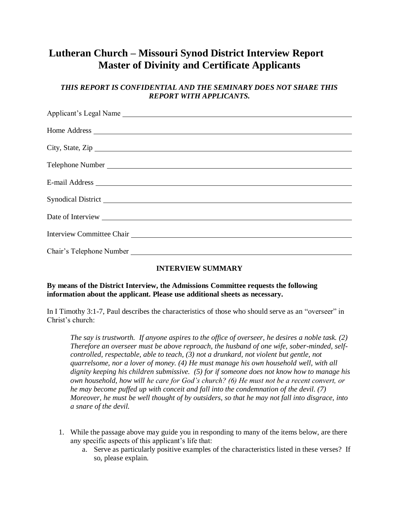## **Lutheran Church – Missouri Synod District Interview Report Master of Divinity and Certificate Applicants**

## *THIS REPORT IS CONFIDENTIAL AND THE SEMINARY DOES NOT SHARE THIS REPORT WITH APPLICANTS.*

| Applicant's Legal Name                                                                                                                                                                                                         |  |  |  |  |  |
|--------------------------------------------------------------------------------------------------------------------------------------------------------------------------------------------------------------------------------|--|--|--|--|--|
|                                                                                                                                                                                                                                |  |  |  |  |  |
|                                                                                                                                                                                                                                |  |  |  |  |  |
| City, State, Zip                                                                                                                                                                                                               |  |  |  |  |  |
|                                                                                                                                                                                                                                |  |  |  |  |  |
|                                                                                                                                                                                                                                |  |  |  |  |  |
|                                                                                                                                                                                                                                |  |  |  |  |  |
|                                                                                                                                                                                                                                |  |  |  |  |  |
| Interview Committee Chair                                                                                                                                                                                                      |  |  |  |  |  |
| Chair's Telephone Number Learner and School and School and School and School and School and School and School and School and School and School and School and School and School and School and School and School and School an |  |  |  |  |  |

## **INTERVIEW SUMMARY**

## **By means of the District Interview, the Admissions Committee requests the following information about the applicant. Please use additional sheets as necessary.**

In I Timothy 3:1-7, Paul describes the characteristics of those who should serve as an "overseer" in Christ's church:

*The say is trustworth. If anyone aspires to the office of overseer, he desires a noble task. (2) Therefore an overseer must be above reproach, the husband of one wife, sober-minded, selfcontrolled, respectable, able to teach, (3) not a drunkard, not violent but gentle, not quarrelsome, nor a lover of money. (4) He must manage his own household well, with all dignity keeping his children submissive. (5) for if someone does not know how to manage his own household, how will he care for God's church? (6) He must not be a recent convert, or he may become puffed up with conceit and fall into the condemnation of the devil. (7) Moreover, he must be well thought of by outsiders, so that he may not fall into disgrace, into a snare of the devil.*

- 1. While the passage above may guide you in responding to many of the items below, are there any specific aspects of this applicant's life that:
	- a. Serve as particularly positive examples of the characteristics listed in these verses? If so, please explain.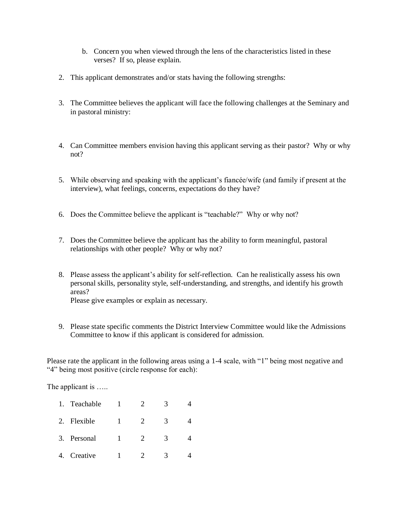- b. Concern you when viewed through the lens of the characteristics listed in these verses? If so, please explain.
- 2. This applicant demonstrates and/or stats having the following strengths:
- 3. The Committee believes the applicant will face the following challenges at the Seminary and in pastoral ministry:
- 4. Can Committee members envision having this applicant serving as their pastor? Why or why not?
- 5. While observing and speaking with the applicant's fiancée/wife (and family if present at the interview), what feelings, concerns, expectations do they have?
- 6. Does the Committee believe the applicant is "teachable?" Why or why not?
- 7. Does the Committee believe the applicant has the ability to form meaningful, pastoral relationships with other people? Why or why not?
- 8. Please assess the applicant's ability for self-reflection. Can he realistically assess his own personal skills, personality style, self-understanding, and strengths, and identify his growth areas?

Please give examples or explain as necessary.

9. Please state specific comments the District Interview Committee would like the Admissions Committee to know if this applicant is considered for admission.

Please rate the applicant in the following areas using a 1-4 scale, with "1" being most negative and "4" being most positive (circle response for each):

The applicant is .....

| 1. | Teachable   |  |   |  |
|----|-------------|--|---|--|
|    | 2. Flexible |  | 3 |  |
|    | 3. Personal |  | 3 |  |
| 4. | Creative    |  | 3 |  |